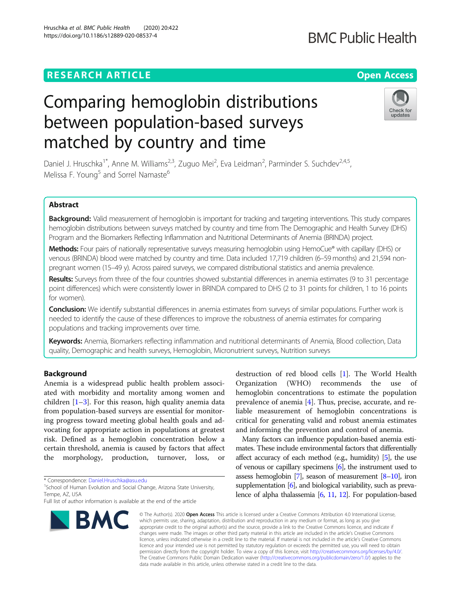## **RESEARCH ARTICLE Example 2014 12:30 The Contract of Contract ACCESS**

Hruschka et al. BMC Public Health (2020) 20:422 https://doi.org/10.1186/s12889-020-08537-4

# Comparing hemoglobin distributions between population-based surveys matched by country and time

Daniel J. Hruschka<sup>1\*</sup>, Anne M. Williams<sup>2,3</sup>, Zuguo Mei<sup>2</sup>, Eva Leidman<sup>2</sup>, Parminder S. Suchdev<sup>2,4,5</sup>, Melissa F. Young<sup>5</sup> and Sorrel Namaste<sup>6</sup>

## Abstract

Background: Valid measurement of hemoglobin is important for tracking and targeting interventions. This study compares hemoglobin distributions between surveys matched by country and time from The Demographic and Health Survey (DHS) Program and the Biomarkers Reflecting Inflammation and Nutritional Determinants of Anemia (BRINDA) project.

Methods: Four pairs of nationally representative surveys measuring hemoglobin using HemoCue® with capillary (DHS) or venous (BRINDA) blood were matched by country and time. Data included 17,719 children (6–59 months) and 21,594 nonpregnant women (15–49 y). Across paired surveys, we compared distributional statistics and anemia prevalence.

Results: Surveys from three of the four countries showed substantial differences in anemia estimates (9 to 31 percentage point differences) which were consistently lower in BRINDA compared to DHS (2 to 31 points for children, 1 to 16 points for women).

**Conclusion:** We identify substantial differences in anemia estimates from surveys of similar populations. Further work is needed to identify the cause of these differences to improve the robustness of anemia estimates for comparing populations and tracking improvements over time.

Keywords: Anemia, Biomarkers reflecting inflammation and nutritional determinants of Anemia, Blood collection, Data quality, Demographic and health surveys, Hemoglobin, Micronutrient surveys, Nutrition surveys

## Background

Anemia is a widespread public health problem associated with morbidity and mortality among women and children  $[1-3]$  $[1-3]$  $[1-3]$  $[1-3]$  $[1-3]$ . For this reason, high quality anemia data from population-based surveys are essential for monitoring progress toward meeting global health goals and advocating for appropriate action in populations at greatest risk. Defined as a hemoglobin concentration below a certain threshold, anemia is caused by factors that affect the morphology, production, turnover, loss, or

\* Correspondence: [Daniel.Hruschka@asu.edu](mailto:Daniel.Hruschka@asu.edu) <sup>1</sup>

<sup>1</sup>School of Human Evolution and Social Change, Arizona State University, Tempe, AZ, USA

Full list of author information is available at the end of the article



destruction of red blood cells [\[1](#page-8-0)]. The World Health Organization (WHO) recommends the use hemoglobin concentrations to estimate the population prevalence of anemia [\[4](#page-8-0)]. Thus, precise, accurate, and reliable measurement of hemoglobin concentrations is critical for generating valid and robust anemia estimates and informing the prevention and control of anemia.

Many factors can influence population-based anemia estimates. These include environmental factors that differentially affect accuracy of each method (e.g., humidity) [[5](#page-8-0)], the use of venous or capillary specimens [\[6](#page-8-0)], the instrument used to assess hemoglobin [\[7](#page-8-0)], season of measurement [[8](#page-8-0)–[10](#page-8-0)], iron supplementation [\[6\]](#page-8-0), and biological variability, such as prevalence of alpha thalassemia [\[6,](#page-8-0) [11,](#page-8-0) [12](#page-8-0)]. For population-based

© The Author(s). 2020 Open Access This article is licensed under a Creative Commons Attribution 4.0 International License, which permits use, sharing, adaptation, distribution and reproduction in any medium or format, as long as you give appropriate credit to the original author(s) and the source, provide a link to the Creative Commons licence, and indicate if changes were made. The images or other third party material in this article are included in the article's Creative Commons licence, unless indicated otherwise in a credit line to the material. If material is not included in the article's Creative Commons licence and your intended use is not permitted by statutory regulation or exceeds the permitted use, you will need to obtain permission directly from the copyright holder. To view a copy of this licence, visit [http://creativecommons.org/licenses/by/4.0/.](http://creativecommons.org/licenses/by/4.0/) The Creative Commons Public Domain Dedication waiver [\(http://creativecommons.org/publicdomain/zero/1.0/](http://creativecommons.org/publicdomain/zero/1.0/)) applies to the data made available in this article, unless otherwise stated in a credit line to the data.



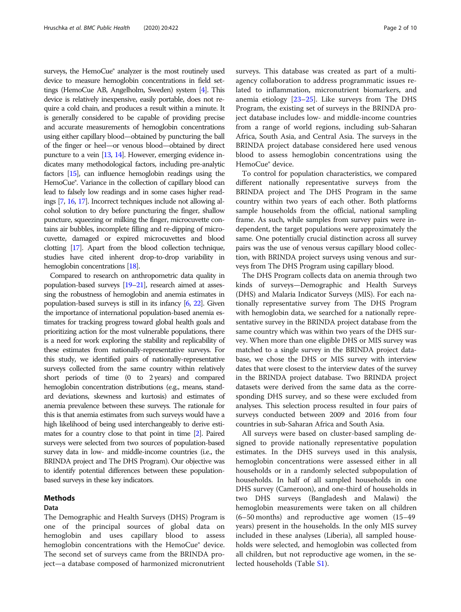surveys, the HemoCue® analyzer is the most routinely used device to measure hemoglobin concentrations in field settings (HemoCue AB, Angelholm, Sweden) system [\[4\]](#page-8-0). This device is relatively inexpensive, easily portable, does not require a cold chain, and produces a result within a minute. It is generally considered to be capable of providing precise and accurate measurements of hemoglobin concentrations using either capillary blood—obtained by puncturing the ball of the finger or heel—or venous blood—obtained by direct puncture to a vein [\[13](#page-9-0), [14](#page-9-0)]. However, emerging evidence indicates many methodological factors, including pre-analytic factors [[15\]](#page-9-0), can influence hemoglobin readings using the HemoCue®. Variance in the collection of capillary blood can lead to falsely low readings and in some cases higher readings [\[7](#page-8-0), [16](#page-9-0), [17](#page-9-0)]. Incorrect techniques include not allowing alcohol solution to dry before puncturing the finger, shallow puncture, squeezing or milking the finger, microcuvette contains air bubbles, incomplete filling and re-dipping of microcuvette, damaged or expired microcuvettes and blood clotting [[17\]](#page-9-0). Apart from the blood collection technique, studies have cited inherent drop-to-drop variability in hemoglobin concentrations [\[18](#page-9-0)].

Compared to research on anthropometric data quality in population-based surveys [\[19](#page-9-0)–[21](#page-9-0)], research aimed at assessing the robustness of hemoglobin and anemia estimates in population-based surveys is still in its infancy [\[6,](#page-8-0) [22](#page-9-0)]. Given the importance of international population-based anemia estimates for tracking progress toward global health goals and prioritizing action for the most vulnerable populations, there is a need for work exploring the stability and replicability of these estimates from nationally-representative surveys. For this study, we identified pairs of nationally-representative surveys collected from the same country within relatively short periods of time (0 to 2 years) and compared hemoglobin concentration distributions (e.g., means, standard deviations, skewness and kurtosis) and estimates of anemia prevalence between these surveys. The rationale for this is that anemia estimates from such surveys would have a high likelihood of being used interchangeably to derive estimates for a country close to that point in time [\[2](#page-8-0)]. Paired surveys were selected from two sources of population-based survey data in low- and middle-income countries (i.e., the BRINDA project and The DHS Program). Our objective was to identify potential differences between these populationbased surveys in these key indicators.

## Methods

## Data

The Demographic and Health Surveys (DHS) Program is one of the principal sources of global data on hemoglobin and uses capillary blood to assess hemoglobin concentrations with the HemoCue® device. The second set of surveys came from the BRINDA project—a database composed of harmonized micronutrient surveys. This database was created as part of a multiagency collaboration to address programmatic issues related to inflammation, micronutrient biomarkers, and anemia etiology  $[23-25]$  $[23-25]$  $[23-25]$ . Like surveys from The DHS Program, the existing set of surveys in the BRINDA project database includes low- and middle-income countries from a range of world regions, including sub-Saharan Africa, South Asia, and Central Asia. The surveys in the BRINDA project database considered here used venous blood to assess hemoglobin concentrations using the HemoCue® device.

To control for population characteristics, we compared different nationally representative surveys from the BRINDA project and The DHS Program in the same country within two years of each other. Both platforms sample households from the official, national sampling frame. As such, while samples from survey pairs were independent, the target populations were approximately the same. One potentially crucial distinction across all survey pairs was the use of venous versus capillary blood collection, with BRINDA project surveys using venous and surveys from The DHS Program using capillary blood.

The DHS Program collects data on anemia through two kinds of surveys—Demographic and Health Surveys (DHS) and Malaria Indicator Surveys (MIS). For each nationally representative survey from The DHS Program with hemoglobin data, we searched for a nationally representative survey in the BRINDA project database from the same country which was within two years of the DHS survey. When more than one eligible DHS or MIS survey was matched to a single survey in the BRINDA project database, we chose the DHS or MIS survey with interview dates that were closest to the interview dates of the survey in the BRINDA project database. Two BRINDA project datasets were derived from the same data as the corresponding DHS survey, and so these were excluded from analyses. This selection process resulted in four pairs of surveys conducted between 2009 and 2016 from four countries in sub-Saharan Africa and South Asia.

All surveys were based on cluster-based sampling designed to provide nationally representative population estimates. In the DHS surveys used in this analysis, hemoglobin concentrations were assessed either in all households or in a randomly selected subpopulation of households. In half of all sampled households in one DHS survey (Cameroon), and one-third of households in two DHS surveys (Bangladesh and Malawi) the hemoglobin measurements were taken on all children (6–50 months) and reproductive age women (15–49 years) present in the households. In the only MIS survey included in these analyses (Liberia), all sampled households were selected, and hemoglobin was collected from all children, but not reproductive age women, in the selected households (Table [S1\)](#page-8-0).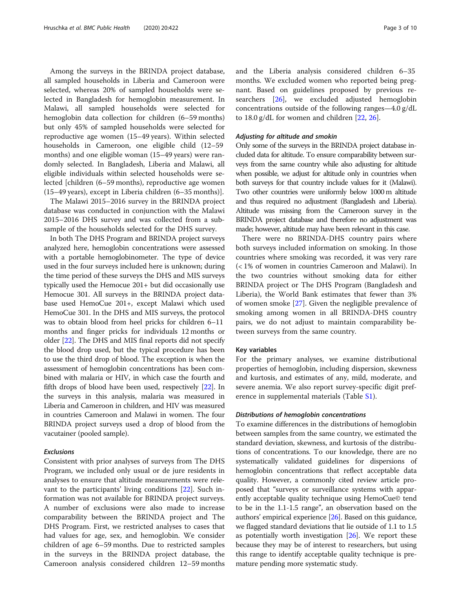Among the surveys in the BRINDA project database, all sampled households in Liberia and Cameroon were selected, whereas 20% of sampled households were selected in Bangladesh for hemoglobin measurement. In Malawi, all sampled households were selected for hemoglobin data collection for children (6–59 months) but only 45% of sampled households were selected for reproductive age women (15–49 years). Within selected households in Cameroon, one eligible child (12–59 months) and one eligible woman (15–49 years) were randomly selected. In Bangladesh, Liberia and Malawi, all eligible individuals within selected households were selected [children (6–59 months), reproductive age women (15–49 years), except in Liberia children (6–35 months)].

The Malawi 2015–2016 survey in the BRINDA project database was conducted in conjunction with the Malawi 2015–2016 DHS survey and was collected from a subsample of the households selected for the DHS survey.

In both The DHS Program and BRINDA project surveys analyzed here, hemoglobin concentrations were assessed with a portable hemoglobinometer. The type of device used in the four surveys included here is unknown; during the time period of these surveys the DHS and MIS surveys typically used the Hemocue 201+ but did occasionally use Hemocue 301. All surveys in the BRINDA project database used HemoCue 201+, except Malawi which used HemoCue 301. In the DHS and MIS surveys, the protocol was to obtain blood from heel pricks for children 6–11 months and finger pricks for individuals 12 months or older [\[22\]](#page-9-0). The DHS and MIS final reports did not specify the blood drop used, but the typical procedure has been to use the third drop of blood. The exception is when the assessment of hemoglobin concentrations has been combined with malaria or HIV, in which case the fourth and fifth drops of blood have been used, respectively [\[22](#page-9-0)]. In the surveys in this analysis, malaria was measured in Liberia and Cameroon in children, and HIV was measured in countries Cameroon and Malawi in women. The four BRINDA project surveys used a drop of blood from the vacutainer (pooled sample).

#### **Exclusions**

Consistent with prior analyses of surveys from The DHS Program, we included only usual or de jure residents in analyses to ensure that altitude measurements were relevant to the participants' living conditions [\[22](#page-9-0)]. Such information was not available for BRINDA project surveys. A number of exclusions were also made to increase comparability between the BRINDA project and The DHS Program. First, we restricted analyses to cases that had values for age, sex, and hemoglobin. We consider children of age 6–59 months. Due to restricted samples in the surveys in the BRINDA project database, the Cameroon analysis considered children 12–59 months and the Liberia analysis considered children 6–35 months. We excluded women who reported being pregnant. Based on guidelines proposed by previous researchers [\[26](#page-9-0)], we excluded adjusted hemoglobin concentrations outside of the following ranges—4.0 g/dL to  $18.0 \text{ g/d}$ L for women and children [[22,](#page-9-0) [26\]](#page-9-0).

## Adjusting for altitude and smokin

Only some of the surveys in the BRINDA project database included data for altitude. To ensure comparability between surveys from the same country while also adjusting for altitude when possible, we adjust for altitude only in countries when both surveys for that country include values for it (Malawi). Two other countries were uniformly below 1000 m altitude and thus required no adjustment (Bangladesh and Liberia). Altitude was missing from the Cameroon survey in the BRINDA project database and therefore no adjustment was made; however, altitude may have been relevant in this case.

There were no BRINDA-DHS country pairs where both surveys included information on smoking. In those countries where smoking was recorded, it was very rare (< 1% of women in countries Cameroon and Malawi). In the two countries without smoking data for either BRINDA project or The DHS Program (Bangladesh and Liberia), the World Bank estimates that fewer than 3% of women smoke [\[27](#page-9-0)]. Given the negligible prevalence of smoking among women in all BRINDA-DHS country pairs, we do not adjust to maintain comparability between surveys from the same country.

## Key variables

For the primary analyses, we examine distributional properties of hemoglobin, including dispersion, skewness and kurtosis, and estimates of any, mild, moderate, and severe anemia. We also report survey-specific digit preference in supplemental materials (Table [S1\)](#page-8-0).

## Distributions of hemoglobin concentrations

To examine differences in the distributions of hemoglobin between samples from the same country, we estimated the standard deviation, skewness, and kurtosis of the distributions of concentrations. To our knowledge, there are no systematically validated guidelines for dispersions of hemoglobin concentrations that reflect acceptable data quality. However, a commonly cited review article proposed that "surveys or surveillance systems with apparently acceptable quality technique using HemoCue© tend to be in the 1.1-1.5 range", an observation based on the authors' empirical experience [[26](#page-9-0)]. Based on this guidance, we flagged standard deviations that lie outside of 1.1 to 1.5 as potentially worth investigation  $[26]$  $[26]$ . We report these because they may be of interest to researchers, but using this range to identify acceptable quality technique is premature pending more systematic study.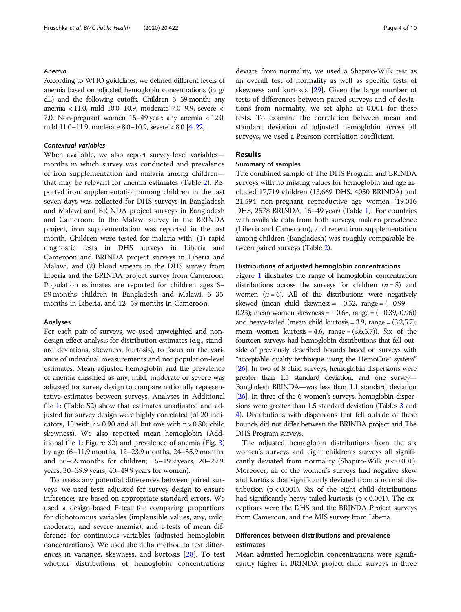## Anemia

According to WHO guidelines, we defined different levels of anemia based on adjusted hemoglobin concentrations (in g/ dL) and the following cutoffs. Children 6–59 month: any anemia < 11.0, mild 10.0–10.9, moderate 7.0–9.9, severe < 7.0. Non-pregnant women 15–49 year: any anemia < 12.0, mild 11.0–11.9, moderate 8.0–10.9, severe < 8.0 [\[4](#page-8-0), [22](#page-9-0)].

## Contextual variables

When available, we also report survey-level variables months in which survey was conducted and prevalence of iron supplementation and malaria among children that may be relevant for anemia estimates (Table [2\)](#page-4-0). Reported iron supplementation among children in the last seven days was collected for DHS surveys in Bangladesh and Malawi and BRINDA project surveys in Bangladesh and Cameroon. In the Malawi survey in the BRINDA project, iron supplementation was reported in the last month. Children were tested for malaria with: (1) rapid diagnostic tests in DHS surveys in Liberia and Cameroon and BRINDA project surveys in Liberia and Malawi, and (2) blood smears in the DHS survey from Liberia and the BRINDA project survey from Cameroon. Population estimates are reported for children ages 6– 59 months children in Bangladesh and Malawi, 6–35 months in Liberia, and 12–59 months in Cameroon.

## Analyses

For each pair of surveys, we used unweighted and nondesign effect analysis for distribution estimates (e.g., standard deviations, skewness, kurtosis), to focus on the variance of individual measurements and not population-level estimates. Mean adjusted hemoglobin and the prevalence of anemia classified as any, mild, moderate or severe was adjusted for survey design to compare nationally representative estimates between surveys. Analyses in Additional file [1](#page-8-0): (Table S2) show that estimates unadjusted and adjusted for survey design were highly correlated (of 20 indicators, 15 with  $r > 0.90$  and all but one with  $r > 0.80$ ; child skewness). We also reported mean hemoglobin (Additional file [1](#page-8-0): Figure S2) and prevalence of anemia (Fig. [3](#page-7-0)) by age (6–11.9 months, 12–23.9 months, 24–35.9 months, and 36–59 months for children; 15–19.9 years, 20–29.9 years, 30–39.9 years, 40–49.9 years for women).

To assess any potential differences between paired surveys, we used tests adjusted for survey design to ensure inferences are based on appropriate standard errors. We used a design-based F-test for comparing proportions for dichotomous variables (implausible values, any, mild, moderate, and severe anemia), and t-tests of mean difference for continuous variables (adjusted hemoglobin concentrations). We used the delta method to test differences in variance, skewness, and kurtosis [\[28\]](#page-9-0). To test whether distributions of hemoglobin concentrations deviate from normality, we used a Shapiro-Wilk test as an overall test of normality as well as specific tests of skewness and kurtosis [\[29](#page-9-0)]. Given the large number of tests of differences between paired surveys and of deviations from normality, we set alpha at 0.001 for these tests. To examine the correlation between mean and standard deviation of adjusted hemoglobin across all surveys, we used a Pearson correlation coefficient.

## Results

## Summary of samples

The combined sample of The DHS Program and BRINDA surveys with no missing values for hemoglobin and age included 17,719 children (13,669 DHS, 4050 BRINDA) and 21,594 non-pregnant reproductive age women (19,016 DHS, 2578 BRINDA, 15–49 year) (Table [1](#page-4-0)). For countries with available data from both surveys, malaria prevalence (Liberia and Cameroon), and recent iron supplementation among children (Bangladesh) was roughly comparable between paired surveys (Table [2\)](#page-4-0).

## Distributions of adjusted hemoglobin concentrations

Figure [1](#page-5-0) illustrates the range of hemoglobin concentration distributions across the surveys for children  $(n = 8)$  and women ( $n = 6$ ). All of the distributions were negatively skewed (mean child skewness =  $-0.52$ , range =  $(-0.99, -1)$ 0.23); mean women skewness = − 0.68, range = (− 0.39,-0.96)) and heavy-tailed (mean child kurtosis  $=$  3.9, range  $=$   $(3.2,5.7)$ ; mean women kurtosis = 4.6, range =  $(3.6, 5.7)$ ). Six of the fourteen surveys had hemoglobin distributions that fell outside of previously described bounds based on surveys with "acceptable quality technique using the HemoCue® system" [[26\]](#page-9-0). In two of 8 child surveys, hemoglobin dispersions were greater than 1.5 standard deviation, and one survey— Bangladesh BRINDA—was less than 1.1 standard deviation [[26\]](#page-9-0). In three of the 6 women's surveys, hemoglobin dispersions were greater than 1.5 standard deviation (Tables [3](#page-5-0) and [4](#page-6-0)). Distributions with dispersions that fell outside of these bounds did not differ between the BRINDA project and The DHS Program surveys.

The adjusted hemoglobin distributions from the six women's surveys and eight children's surveys all significantly deviated from normality (Shapiro-Wilk  $p < 0.001$ ). Moreover, all of the women's surveys had negative skew and kurtosis that significantly deviated from a normal distribution ( $p < 0.001$ ). Six of the eight child distributions had significantly heavy-tailed kurtosis ( $p < 0.001$ ). The exceptions were the DHS and the BRINDA Project surveys from Cameroon, and the MIS survey from Liberia.

## Differences between distributions and prevalence estimates

Mean adjusted hemoglobin concentrations were significantly higher in BRINDA project child surveys in three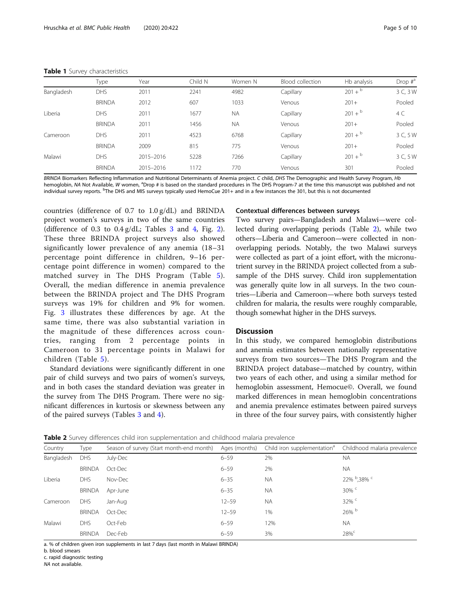#### <span id="page-4-0"></span>Table 1 Survey characteristics

|            | Type          | Year      | Child N | Women N   | Blood collection | Hb analysis  | Drop $\sharp^a$ |
|------------|---------------|-----------|---------|-----------|------------------|--------------|-----------------|
| Bangladesh | DHS           | 2011      | 2241    | 4982      | Capillary        | $201 + ^{b}$ | 3 C, 3 W        |
|            | <b>BRINDA</b> | 2012      | 607     | 1033      | Venous           | $201 +$      | Pooled          |
| Liberia    | <b>DHS</b>    | 2011      | 1677    | <b>NA</b> | Capillary        | $201 + ^{b}$ | 4 C             |
|            | <b>BRINDA</b> | 2011      | 1456    | <b>NA</b> | Venous           | $201 +$      | Pooled          |
| Cameroon   | DHS           | 2011      | 4523    | 6768      | Capillary        | $201 + b$    | 3 C, 5 W        |
|            | <b>BRINDA</b> | 2009      | 815     | 775       | Venous           | $201+$       | Pooled          |
| Malawi     | <b>DHS</b>    | 2015-2016 | 5228    | 7266      | Capillary        | $201 + ^{b}$ | 3 C, 5 W        |
|            | <b>BRINDA</b> | 2015-2016 | 1172    | 770       | Venous           | 301          | Pooled          |

BRINDA Biomarkers Reflecting Inflammation and Nutritional Determinants of Anemia project. C child, DHS The Demographic and Health Survey Program, Hb hemoglobin, NA Not Available, W women, <sup>a</sup>Drop # is based on the standard procedures in The DHS Program-7 at the time this manuscript was published and not individual survey reports. <sup>b</sup>The DHS and MIS surveys typically used HemoCue 201+ and in a few instances the 301, but this is not documented

countries (difference of 0.7 to 1.0 g/dL) and BRINDA project women's surveys in two of the same countries (difference of 0.[3](#page-5-0) to  $0.4$  g/dL; Tables 3 and [4,](#page-6-0) Fig. [2](#page-6-0)). These three BRINDA project surveys also showed significantly lower prevalence of any anemia (18–31 percentage point difference in children, 9–16 percentage point difference in women) compared to the matched survey in The DHS Program (Table [5](#page-7-0)). Overall, the median difference in anemia prevalence between the BRINDA project and The DHS Program surveys was 19% for children and 9% for women. Fig. [3](#page-7-0) illustrates these differences by age. At the same time, there was also substantial variation in the magnitude of these differences across countries, ranging from 2 percentage points in Cameroon to 31 percentage points in Malawi for children (Table [5\)](#page-7-0).

Standard deviations were significantly different in one pair of child surveys and two pairs of women's surveys, and in both cases the standard deviation was greater in the survey from The DHS Program. There were no significant differences in kurtosis or skewness between any of the paired surveys (Tables [3](#page-5-0) and [4](#page-6-0)).

## Contextual differences between surveys

Two survey pairs—Bangladesh and Malawi—were collected during overlapping periods (Table 2), while two others—Liberia and Cameroon—were collected in nonoverlapping periods. Notably, the two Malawi surveys were collected as part of a joint effort, with the micronutrient survey in the BRINDA project collected from a subsample of the DHS survey. Child iron supplementation was generally quite low in all surveys. In the two countries—Liberia and Cameroon—where both surveys tested children for malaria, the results were roughly comparable, though somewhat higher in the DHS surveys.

## Discussion

In this study, we compared hemoglobin distributions and anemia estimates between nationally representative surveys from two sources—The DHS Program and the BRINDA project database—matched by country, within two years of each other, and using a similar method for hemoglobin assessment, Hemocue©. Overall, we found marked differences in mean hemoglobin concentrations and anemia prevalence estimates between paired surveys in three of the four survey pairs, with consistently higher

| Table 2 Survey differences child iron supplementation and childhood malaria prevalence |  |  |  |
|----------------------------------------------------------------------------------------|--|--|--|
|----------------------------------------------------------------------------------------|--|--|--|

| Country    | Type          | Season of survey (Start month-end month) Ages (months) |           | Child iron supplementation <sup>a</sup> Childhood malaria prevalence |                         |
|------------|---------------|--------------------------------------------------------|-----------|----------------------------------------------------------------------|-------------------------|
| Bangladesh | <b>DHS</b>    | July-Dec                                               | $6 - 59$  | 2%                                                                   | <b>NA</b>               |
|            | <b>BRINDA</b> | Oct-Dec                                                | $6 - 59$  | 2%                                                                   | <b>NA</b>               |
| Liberia    | <b>DHS</b>    | Nov-Dec                                                | $6 - 35$  | <b>NA</b>                                                            | 22% <sup>b</sup> .38% c |
|            | <b>BRINDA</b> | Apr-June                                               | $6 - 35$  | <b>NA</b>                                                            | $30\%$ <sup>c</sup>     |
| Cameroon   | <b>DHS</b>    | Jan-Aug                                                | $12 - 59$ | <b>NA</b>                                                            | $32\%$                  |
|            | <b>BRINDA</b> | Oct-Dec                                                | $12 - 59$ | 1%                                                                   | 26% b                   |
| Malawi     | <b>DHS</b>    | Oct-Feb                                                | $6 - 59$  | 12%                                                                  | <b>NA</b>               |
|            | <b>BRINDA</b> | Dec-Feb                                                | $6 - 59$  | 3%                                                                   | 28%                     |

a. % of children given iron supplements in last 7 days (last month in Malawi BRINDA)

b. blood smears

c. rapid diagnostic testing

NA not available.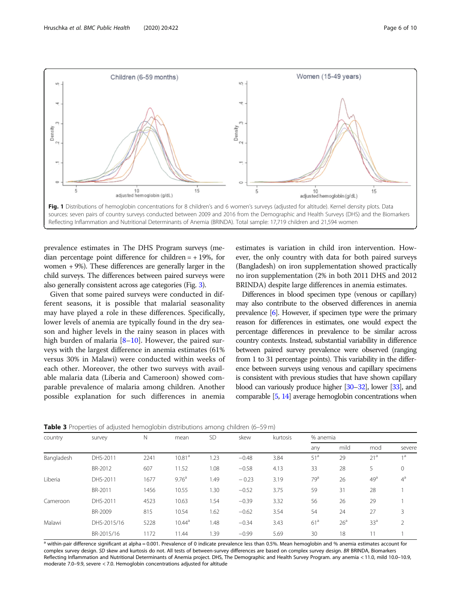<span id="page-5-0"></span>

prevalence estimates in The DHS Program surveys (median percentage point difference for children  $= +19\%$ , for women + 9%). These differences are generally larger in the child surveys. The differences between paired surveys were also generally consistent across age categories (Fig. [3\)](#page-7-0).

Given that some paired surveys were conducted in different seasons, it is possible that malarial seasonality may have played a role in these differences. Specifically, lower levels of anemia are typically found in the dry season and higher levels in the rainy season in places with high burden of malaria [\[8](#page-8-0)–[10\]](#page-8-0). However, the paired surveys with the largest difference in anemia estimates (61% versus 30% in Malawi) were conducted within weeks of each other. Moreover, the other two surveys with available malaria data (Liberia and Cameroon) showed comparable prevalence of malaria among children. Another possible explanation for such differences in anemia

estimates is variation in child iron intervention. However, the only country with data for both paired surveys (Bangladesh) on iron supplementation showed practically no iron supplementation (2% in both 2011 DHS and 2012 BRINDA) despite large differences in anemia estimates.

Differences in blood specimen type (venous or capillary) may also contribute to the observed differences in anemia prevalence [\[6](#page-8-0)]. However, if specimen type were the primary reason for differences in estimates, one would expect the percentage differences in prevalence to be similar across country contexts. Instead, substantial variability in difference between paired survey prevalence were observed (ranging from 1 to 31 percentage points). This variability in the difference between surveys using venous and capillary specimens is consistent with previous studies that have shown capillary blood can variously produce higher [\[30](#page-9-0)–[32\]](#page-9-0), lower [\[33](#page-9-0)], and comparable [\[5](#page-8-0), [14](#page-9-0)] average hemoglobin concentrations when

|  |  | <b>Table 3</b> Properties of adjusted hemoglobin distributions among children (6–59 m) |  |
|--|--|----------------------------------------------------------------------------------------|--|
|--|--|----------------------------------------------------------------------------------------|--|

| country    | survey      | N    | mean               | <b>SD</b> | skew    | kurtosis | % anemia        |                 |                 |                |
|------------|-------------|------|--------------------|-----------|---------|----------|-----------------|-----------------|-----------------|----------------|
|            |             |      |                    |           |         |          | any             | mild            | mod             | severe         |
| Bangladesh | DHS-2011    | 2241 | 10.81 <sup>a</sup> | 1.23      | $-0.48$ | 3.84     | 51 <sup>a</sup> | 29              | 21 <sup>a</sup> | 1 <sup>d</sup> |
|            | BR-2012     | 607  | 11.52              | 1.08      | $-0.58$ | 4.13     | 33              | 28              | 5               | $\mathbf 0$    |
| Liberia    | DHS-2011    | 1677 | 9.76 <sup>a</sup>  | 1.49      | $-0.23$ | 3.19     | 79 <sup>a</sup> | 26              | 49 <sup>a</sup> | $4^a$          |
|            | BR-2011     | 1456 | 10.55              | 1.30      | $-0.52$ | 3.75     | 59              | 31              | 28              |                |
| Cameroon   | DHS-2011    | 4523 | 10.63              | 1.54      | $-0.39$ | 3.32     | 56              | 26              | 29              |                |
|            | BR-2009     | 815  | 10.54              | 1.62      | $-0.62$ | 3.54     | 54              | 24              | 27              | 3              |
| Malawi     | DHS-2015/16 | 5228 | 10.44 <sup>a</sup> | 1.48      | $-0.34$ | 3.43     | 61 <sup>a</sup> | 26 <sup>a</sup> | 33 <sup>a</sup> | 2              |
|            | BR-2015/16  | 1172 | 11.44              | .39       | $-0.99$ | 5.69     | 30              | 18              | 11              |                |

a within-pair difference significant at alpha = 0.001. Prevalence of 0 indicate prevalence less than 0.5%. Mean hemoglobin and % anemia estimates account for complex survey design. SD skew and kurtosis do not. All tests of between-survey differences are based on complex survey design. BR BRINDA, Biomarkers Reflecting Inflammation and Nutritional Determinants of Anemia project. DHS, The Demographic and Health Survey Program. any anemia < 11.0, mild 10.0–10.9, moderate 7.0–9.9, severe < 7.0. Hemoglobin concentrations adjusted for altitude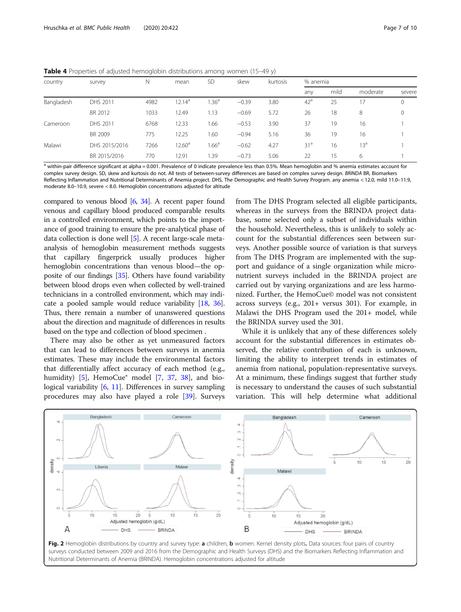<span id="page-6-0"></span>Table 4 Properties of adjusted hemoglobin distributions among women (15-49 y)

| country    | survey        | Ν    | mean               | <b>SD</b>        | skew    | kurtosis |                 | % anemia |                 |         |  |
|------------|---------------|------|--------------------|------------------|---------|----------|-----------------|----------|-----------------|---------|--|
|            |               |      |                    |                  |         |          | any             | mild     | moderate        | severe  |  |
| Bangladesh | DHS 2011      | 4982 | $12.14^a$          | .36 <sup>a</sup> | $-0.39$ | 3.80     | 42 <sup>a</sup> | 25       | 17              | $\circ$ |  |
|            | BR 2012       | 1033 | 12.49              | 1.13             | $-0.69$ | 5.72     | 26              | 18       | 8               | 0       |  |
| Cameroon   | DHS 2011      | 6768 | 12.33              | 1.66             | $-0.53$ | 3.90     | 37              | 19       | 16              |         |  |
|            | BR 2009       | 775  | 12.25              | 1.60             | $-0.94$ | 5.16     | 36              | 19       | 16              |         |  |
| Malawi     | DHS 2015/2016 | 7266 | 12.60 <sup>a</sup> | $1.66^a$         | $-0.62$ | 4.27     | 31 <sup>a</sup> | 16       | 13 <sup>a</sup> |         |  |
|            | BR 2015/2016  | 770  | 12.91              | 1.39             | $-0.73$ | 5.06     | 22              | 15       | 6               |         |  |

 $\frac{a}{b}$  within-pair difference significant at alpha = 0.001. Prevalence of 0 indicate prevalence less than 0.5%. Mean hemoglobin and % anemia estimates account for complex survey design. SD, skew and kurtosis do not. All tests of between-survey differences are based on complex survey design. BRINDA BR, Biomarkers Reflecting Inflammation and Nutritional Determinants of Anemia project. DHS, The Demographic and Health Survey Program. any anemia < 12.0, mild 11.0–11.9, moderate 8.0–10.9, severe < 8.0. Hemoglobin concentrations adjusted for altitude

compared to venous blood  $[6, 34]$  $[6, 34]$  $[6, 34]$ . A recent paper found venous and capillary blood produced comparable results in a controlled environment, which points to the importance of good training to ensure the pre-analytical phase of data collection is done well [[5\]](#page-8-0). A recent large-scale metaanalysis of hemoglobin measurement methods suggests that capillary fingerprick usually produces higher hemoglobin concentrations than venous blood—the opposite of our findings [\[35\]](#page-9-0). Others have found variability between blood drops even when collected by well-trained technicians in a controlled environment, which may indicate a pooled sample would reduce variability [\[18,](#page-9-0) [36](#page-9-0)]. Thus, there remain a number of unanswered questions about the direction and magnitude of differences in results based on the type and collection of blood specimen .

There may also be other as yet unmeasured factors that can lead to differences between surveys in anemia estimates. These may include the environmental factors that differentially affect accuracy of each method (e.g., humidity)  $[5]$  $[5]$ , HemoCue<sup>®</sup> model  $[7, 37, 38]$  $[7, 37, 38]$  $[7, 37, 38]$  $[7, 37, 38]$  $[7, 37, 38]$  $[7, 37, 38]$ , and bio-logical variability [\[6](#page-8-0), [11\]](#page-8-0). Differences in survey sampling procedures may also have played a role [\[39\]](#page-9-0). Surveys

from The DHS Program selected all eligible participants, whereas in the surveys from the BRINDA project database, some selected only a subset of individuals within the household. Nevertheless, this is unlikely to solely account for the substantial differences seen between surveys. Another possible source of variation is that surveys from The DHS Program are implemented with the support and guidance of a single organization while micronutrient surveys included in the BRINDA project are carried out by varying organizations and are less harmonized. Further, the HemoCue© model was not consistent across surveys (e.g., 201+ versus 301). For example, in Malawi the DHS Program used the 201+ model, while the BRINDA survey used the 301.

While it is unlikely that any of these differences solely account for the substantial differences in estimates observed, the relative contribution of each is unknown, limiting the ability to interpret trends in estimates of anemia from national, population-representative surveys. At a minimum, these findings suggest that further study is necessary to understand the causes of such substantial variation. This will help determine what additional



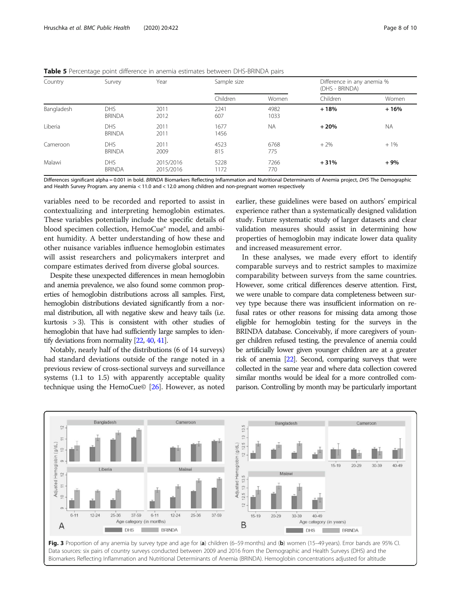| Country    | Survey                      | Year                   | Sample size  |              | Difference in any anemia %<br>(DHS - BRINDA) |           |  |
|------------|-----------------------------|------------------------|--------------|--------------|----------------------------------------------|-----------|--|
|            |                             |                        | Children     | Women        | Children                                     | Women     |  |
| Bangladesh | <b>DHS</b><br><b>BRINDA</b> | 2011<br>2012           | 2241<br>607  | 4982<br>1033 | $+18%$                                       | $+16%$    |  |
| Liberia    | <b>DHS</b><br><b>BRINDA</b> | 2011<br>2011           | 1677<br>1456 | <b>NA</b>    | $+20%$                                       | <b>NA</b> |  |
| Cameroon   | <b>DHS</b><br><b>BRINDA</b> | 2011<br>2009           | 4523<br>815  | 6768<br>775  | $+2%$                                        | $+1%$     |  |
| Malawi     | <b>DHS</b><br><b>BRINDA</b> | 2015/2016<br>2015/2016 | 5228<br>1172 | 7266<br>770  | $+31%$                                       | $+9%$     |  |

<span id="page-7-0"></span>

| Table 5 Percentage point difference in anemia estimates between DHS-BRINDA pairs |  |  |  |
|----------------------------------------------------------------------------------|--|--|--|
|                                                                                  |  |  |  |

Differences significant alpha = 0.001 in bold. BRINDA Biomarkers Reflecting Inflammation and Nutritional Determinants of Anemia project, DHS The Demographic and Health Survey Program. any anemia < 11.0 and < 12.0 among children and non-pregnant women respectively

variables need to be recorded and reported to assist in contextualizing and interpreting hemoglobin estimates. These variables potentially include the specific details of blood specimen collection, HemoCue® model, and ambient humidity. A better understanding of how these and other nuisance variables influence hemoglobin estimates will assist researchers and policymakers interpret and compare estimates derived from diverse global sources.

Despite these unexpected differences in mean hemoglobin and anemia prevalence, we also found some common properties of hemoglobin distributions across all samples. First, hemoglobin distributions deviated significantly from a normal distribution, all with negative skew and heavy tails (i.e. kurtosis > 3). This is consistent with other studies of hemoglobin that have had sufficiently large samples to identify deviations from normality [\[22,](#page-9-0) [40,](#page-9-0) [41](#page-9-0)].

Notably, nearly half of the distributions (6 of 14 surveys) had standard deviations outside of the range noted in a previous review of cross-sectional surveys and surveillance systems (1.1 to 1.5) with apparently acceptable quality technique using the HemoCue© [[26](#page-9-0)]. However, as noted

earlier, these guidelines were based on authors' empirical experience rather than a systematically designed validation study. Future systematic study of larger datasets and clear validation measures should assist in determining how properties of hemoglobin may indicate lower data quality and increased measurement error.

In these analyses, we made every effort to identify comparable surveys and to restrict samples to maximize comparability between surveys from the same countries. However, some critical differences deserve attention. First, we were unable to compare data completeness between survey type because there was insufficient information on refusal rates or other reasons for missing data among those eligible for hemoglobin testing for the surveys in the BRINDA database. Conceivably, if more caregivers of younger children refused testing, the prevalence of anemia could be artificially lower given younger children are at a greater risk of anemia [\[22](#page-9-0)]. Second, comparing surveys that were collected in the same year and where data collection covered similar months would be ideal for a more controlled comparison. Controlling by month may be particularly important

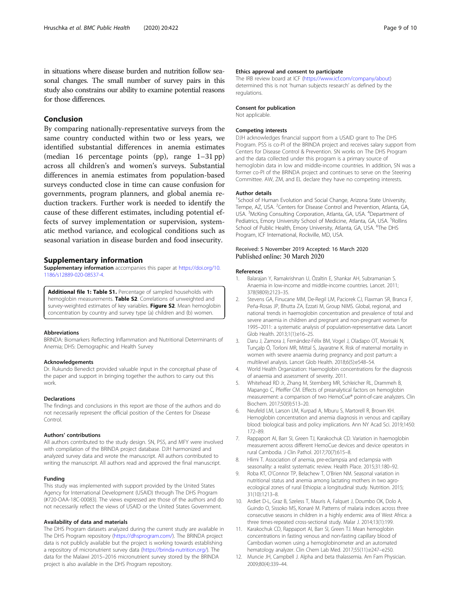## <span id="page-8-0"></span>Conclusion

By comparing nationally-representative surveys from the same country conducted within two or less years, we identified substantial differences in anemia estimates (median 16 percentage points (pp), range 1–31 pp) across all children's and women's surveys. Substantial differences in anemia estimates from population-based surveys conducted close in time can cause confusion for governments, program planners, and global anemia reduction trackers. Further work is needed to identify the cause of these different estimates, including potential effects of survey implementation or supervision, systematic method variance, and ecological conditions such as seasonal variation in disease burden and food insecurity.

## Supplementary information

Supplementary information accompanies this paper at [https://doi.org/10.](https://doi.org/10.1186/s12889-020-08537-4) [1186/s12889-020-08537-4](https://doi.org/10.1186/s12889-020-08537-4).

Additional file 1: Table S1. Percentage of sampled households with hemoglobin measurements. Table S2. Correlations of unweighted and survey-weighted estimates of key variables. Figure S2. Mean hemoglobin concentration by country and survey type (a) children and (b) women.

## Abbreviations

BRINDA: Biomarkers Reflecting Inflammation and Nutritional Determinants of Anemia; DHS: Demographic and Health Survey

#### Acknowledgements

Dr. Rukundo Benedict provided valuable input in the conceptual phase of the paper and support in bringing together the authors to carry out this work.

#### Declarations

The findings and conclusions in this report are those of the authors and do not necessarily represent the official position of the Centers for Disease Control.

#### Authors' contributions

All authors contributed to the study design. SN, PSS, and MFY were involved with compilation of the BRINDA project database. DJH harmonized and analyzed survey data and wrote the manuscript. All authors contributed to writing the manuscript. All authors read and approved the final manuscript.

#### Funding

This study was implemented with support provided by the United States Agency for International Development (USAID) through The DHS Program (#720-OAA-18C-00083). The views expressed are those of the authors and do not necessarily reflect the views of USAID or the United States Government.

## Availability of data and materials

The DHS Program datasets analyzed during the current study are available in The DHS Program repository [\(https://dhsprogram.com/\)](https://dhsprogram.com/). The BRINDA project data is not publicly available but the project is working towards establishing a repository of micronutrient survey data [\(https://brinda-nutrition.org/](https://brinda-nutrition.org/)). The data for the Malawi 2015–2016 micronutrient survey stored by the BRINDA project is also available in the DHS Program repository.

## Ethics approval and consent to participate

The IRB review board at ICF [\(https://www.icf.com/company/about\)](https://www.icf.com/company/about) determined this is not 'human subjects research' as defined by the regulations.

#### Consent for publication

Not applicable.

## Competing interests

DJH acknowledges financial support from a USAID grant to The DHS Program. PSS is co-PI of the BRINDA project and receives salary support from Centers for Disease Control & Prevention. SN works on The DHS Program and the data collected under this program is a primary source of hemoglobin data in low and middle-income countries. In addition, SN was a former co-PI of the BRINDA project and continues to serve on the Steering Committee. AW, ZM, and EL declare they have no competing interests.

#### Author details

<sup>1</sup>School of Human Evolution and Social Change, Arizona State University, Tempe, AZ, USA. <sup>2</sup>Centers for Disease Control and Prevention, Atlanta, GA USA.<sup>3</sup> McKing Consulting Corporation, Atlanta, GA, USA.<sup>4</sup> Department of Pediatrics, Emory University School of Medicine, Atlanta, GA, USA. <sup>5</sup>Rollins School of Public Health, Emory University, Atlanta, GA, USA. <sup>6</sup>The DHS Program, ICF International, Rockville, MD, USA.

## Received: 5 November 2019 Accepted: 16 March 2020 Published online: 30 March 2020

#### References

- 1. Balarajan Y, Ramakrishnan U, Özaltin E, Shankar AH, Subramanian S. Anaemia in low-income and middle-income countries. Lancet. 2011; 378(9809):2123–35.
- 2. Stevens GA, Finucane MM, De-Regil LM, Paciorek CJ, Flaxman SR, Branca F, Peña-Rosas JP, Bhutta ZA, Ezzati M, Group NIMS. Global, regional, and national trends in haemoglobin concentration and prevalence of total and severe anaemia in children and pregnant and non-pregnant women for 1995–2011: a systematic analysis of population-representative data. Lancet Glob Health. 2013;1(1):e16–25.
- 3. Daru J, Zamora J, Fernández-Félix BM, Vogel J, Oladapo OT, Morisaki N, Tunçalp Ö, Torloni MR, Mittal S, Jayaratne K. Risk of maternal mortality in women with severe anaemia during pregnancy and post partum: a multilevel analysis. Lancet Glob Health. 2018;6(5):e548–54.
- 4. World Health Organization: Haemoglobin concentrations for the diagnosis of anaemia and assessment of severity. 2011.
- 5. Whitehead RD Jr, Zhang M, Sternberg MR, Schleicher RL, Drammeh B, Mapango C, Pfeiffer CM. Effects of preanalytical factors on hemoglobin measurement: a comparison of two HemoCue® point-of-care analyzers. Clin Biochem. 2017;50(9):513–20.
- 6. Neufeld LM, Larson LM, Kurpad A, Mburu S, Martorell R, Brown KH. Hemoglobin concentration and anemia diagnosis in venous and capillary blood: biological basis and policy implications. Ann NY Acad Sci. 2019;1450: 172–89.
- 7. Rappaport AI, Barr SI, Green TJ, Karakochuk CD. Variation in haemoglobin measurement across different HemoCue devices and device operators in rural Cambodia. J Clin Pathol. 2017;70(7):615–8.
- 8. Hlimi T. Association of anemia, pre-eclampsia and eclampsia with seasonality: a realist systematic review. Health Place. 2015;31:180–92.
- 9. Roba KT, O'Connor TP, Belachew T, O'Brien NM. Seasonal variation in nutritional status and anemia among lactating mothers in two agroecological zones of rural Ethiopia: a longitudinal study. Nutrition. 2015; 31(10):1213–8.
- 10. Ardiet D-L, Graz B, Szeless T, Mauris A, Falquet J, Doumbo OK, Dolo A, Guindo O, Sissoko MS, Konaré M. Patterns of malaria indices across three consecutive seasons in children in a highly endemic area of West Africa: a three times-repeated cross-sectional study. Malar J. 2014;13(1):199.
- 11. Karakochuk CD, Rappaport AI, Barr SI, Green TJ. Mean hemoglobin concentrations in fasting venous and non-fasting capillary blood of Cambodian women using a hemoglobinometer and an automated hematology analyzer. Clin Chem Lab Med. 2017;55(11):e247–e250.
- 12. Muncie JH, Campbell J. Alpha and beta thalassemia. Am Fam Physician. 2009;80(4):339–44.